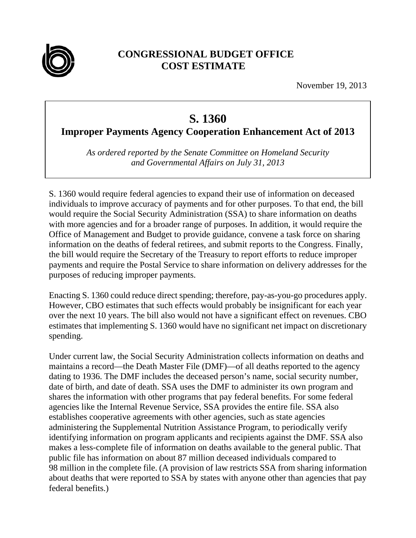

## **CONGRESSIONAL BUDGET OFFICE COST ESTIMATE**

November 19, 2013

## **S. 1360**

**Improper Payments Agency Cooperation Enhancement Act of 2013** 

*As ordered reported by the Senate Committee on Homeland Security and Governmental Affairs on July 31, 2013* 

S. 1360 would require federal agencies to expand their use of information on deceased individuals to improve accuracy of payments and for other purposes. To that end, the bill would require the Social Security Administration (SSA) to share information on deaths with more agencies and for a broader range of purposes. In addition, it would require the Office of Management and Budget to provide guidance, convene a task force on sharing information on the deaths of federal retirees, and submit reports to the Congress. Finally, the bill would require the Secretary of the Treasury to report efforts to reduce improper payments and require the Postal Service to share information on delivery addresses for the purposes of reducing improper payments.

Enacting S. 1360 could reduce direct spending; therefore, pay-as-you-go procedures apply. However, CBO estimates that such effects would probably be insignificant for each year over the next 10 years. The bill also would not have a significant effect on revenues. CBO estimates that implementing S. 1360 would have no significant net impact on discretionary spending.

Under current law, the Social Security Administration collects information on deaths and maintains a record—the Death Master File (DMF)—of all deaths reported to the agency dating to 1936. The DMF includes the deceased person's name, social security number, date of birth, and date of death. SSA uses the DMF to administer its own program and shares the information with other programs that pay federal benefits. For some federal agencies like the Internal Revenue Service, SSA provides the entire file. SSA also establishes cooperative agreements with other agencies, such as state agencies administering the Supplemental Nutrition Assistance Program, to periodically verify identifying information on program applicants and recipients against the DMF. SSA also makes a less-complete file of information on deaths available to the general public. That public file has information on about 87 million deceased individuals compared to 98 million in the complete file. (A provision of law restricts SSA from sharing information about deaths that were reported to SSA by states with anyone other than agencies that pay federal benefits.)